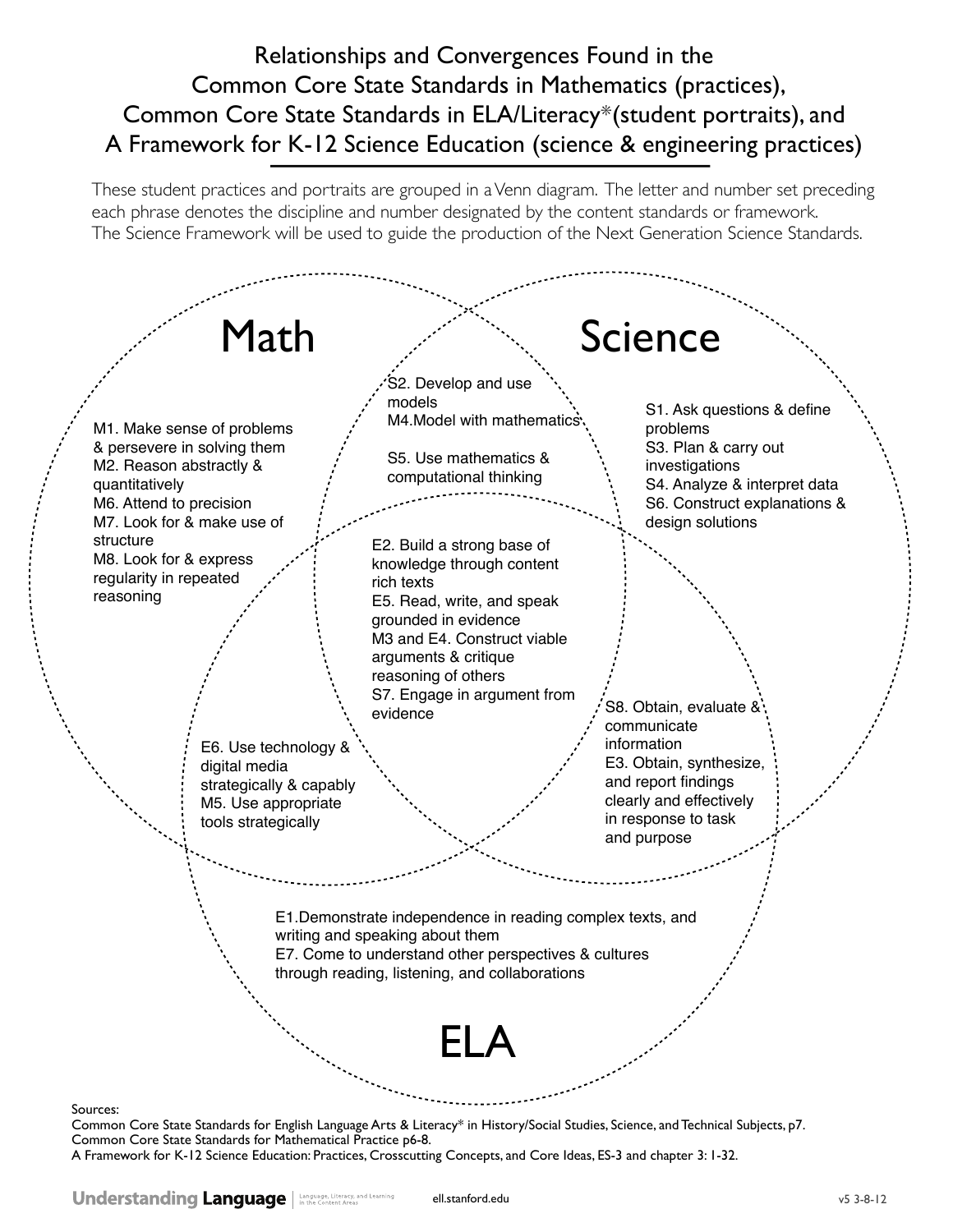### Relationships and Convergences Found in the Common Core State Standards in Mathematics (practices), Common Core State Standards in ELA/Literacy\*(student portraits), and A Framework for K-12 Science Education (science & engineering practices)

These student practices and portraits are grouped in a Venn diagram. The letter and number set preceding each phrase denotes the discipline and number designated by the content standards or framework. The Science Framework will be used to guide the production of the Next Generation Science Standards.



Common Core State Standards for English Language Arts & Literacy\* in History/Social Studies, Science, and Technical Subjects, p7. Common Core State Standards for Mathematical Practice p6-8.

A Framework for K-12 Science Education: Practices, Crosscutting Concepts, and Core Ideas, ES-3 and chapter 3: 1-32.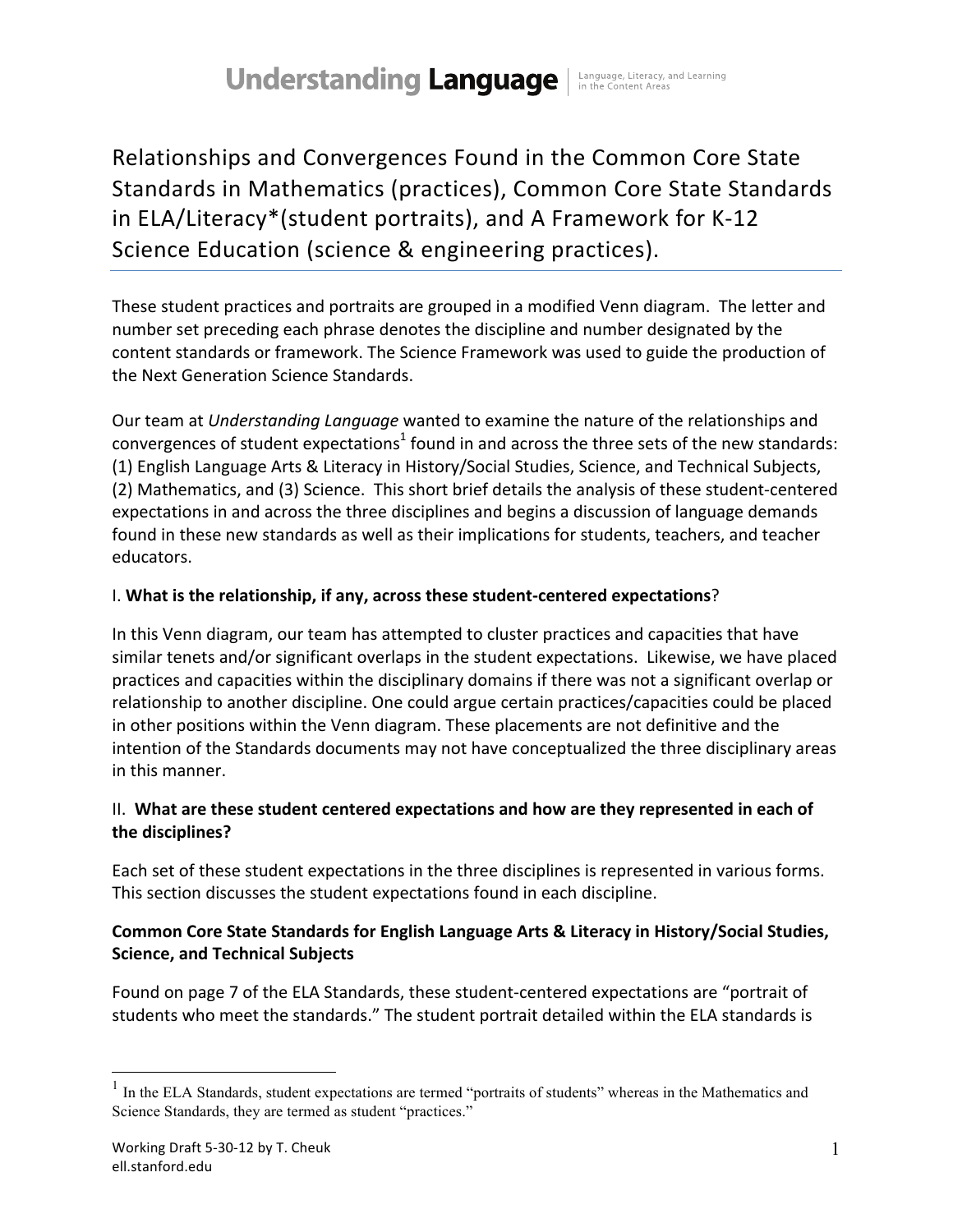## **Understanding Language** | Language, Literacy, and Learning

Relationships and Convergences Found in the Common Core State Standards in Mathematics (practices), Common Core State Standards in ELA/Literacy\*(student portraits), and A Framework for K-12 Science Education (science & engineering practices).

These student practices and portraits are grouped in a modified Venn diagram. The letter and number set preceding each phrase denotes the discipline and number designated by the content standards or framework. The Science Framework was used to guide the production of the Next Generation Science Standards.

Our team at *Understanding Language* wanted to examine the nature of the relationships and convergences of student expectations<sup>1</sup> found in and across the three sets of the new standards: (1) English Language Arts & Literacy in History/Social Studies, Science, and Technical Subjects, (2) Mathematics, and (3) Science. This short brief details the analysis of these student-centered expectations in and across the three disciplines and begins a discussion of language demands found in these new standards as well as their implications for students, teachers, and teacher educators.

### I. What is the relationship, if any, across these student-centered expectations?

In this Venn diagram, our team has attempted to cluster practices and capacities that have similar tenets and/or significant overlaps in the student expectations. Likewise, we have placed practices and capacities within the disciplinary domains if there was not a significant overlap or relationship to another discipline. One could argue certain practices/capacities could be placed in other positions within the Venn diagram. These placements are not definitive and the intention of the Standards documents may not have conceptualized the three disciplinary areas in this manner.

### II. What are these student centered expectations and how are they represented in each of the disciplines?

Each set of these student expectations in the three disciplines is represented in various forms. This section discusses the student expectations found in each discipline.

### Common Core State Standards for English Language Arts & Literacy in History/Social Studies, **Science, and Technical Subjects**

Found on page 7 of the ELA Standards, these student-centered expectations are "portrait of students who meet the standards." The student portrait detailed within the ELA standards is

<sup>&</sup>lt;sup>1</sup> In the ELA Standards, student expectations are termed "portraits of students" whereas in the Mathematics and Science Standards, they are termed as student "practices."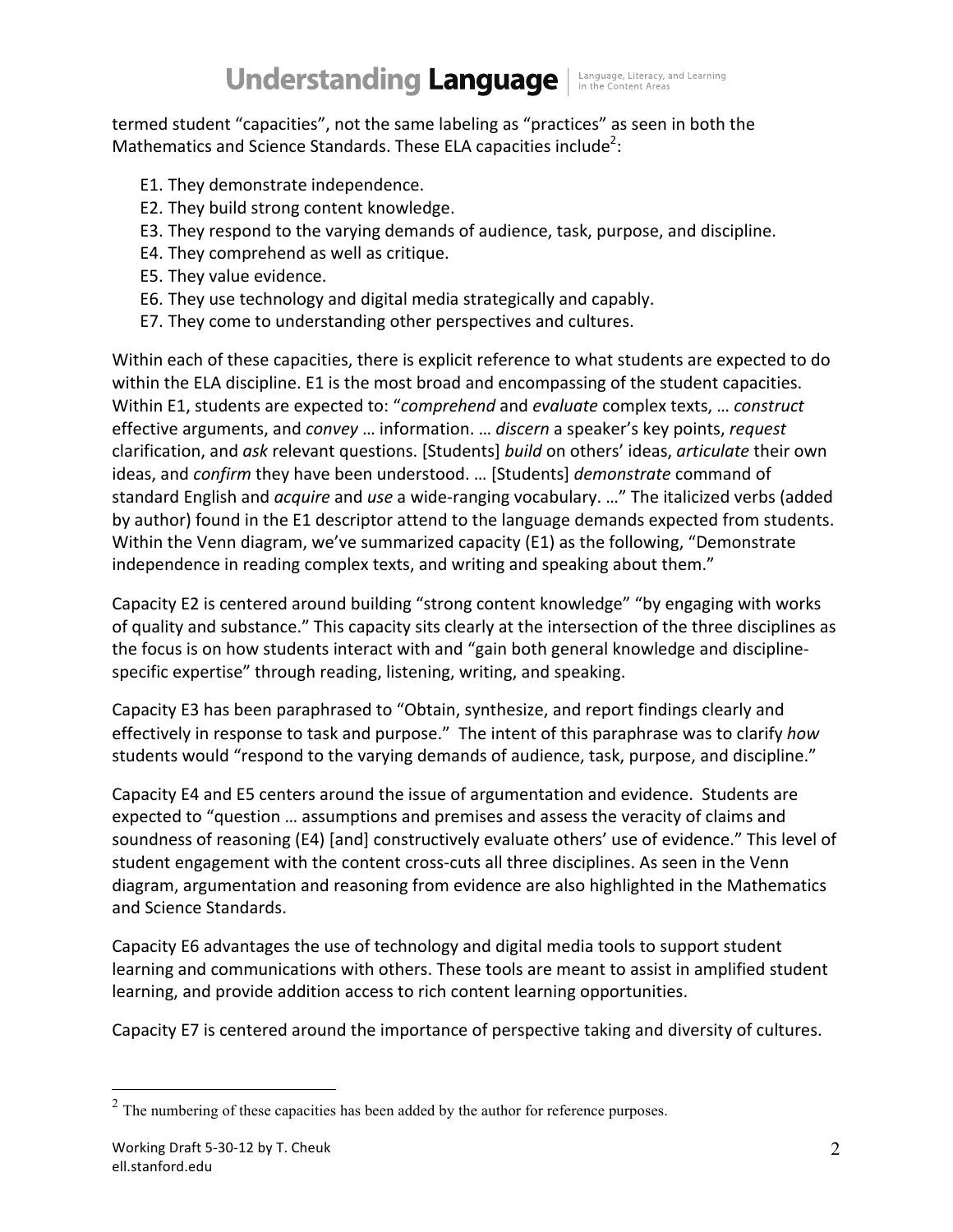## **Understanding Language** | Language, Literacy, and Learning

termed student "capacities", not the same labeling as "practices" as seen in both the Mathematics and Science Standards. These ELA capacities include<sup>2</sup>:

- E1. They demonstrate independence.
- E2. They build strong content knowledge.
- E3. They respond to the varying demands of audience, task, purpose, and discipline.
- E4. They comprehend as well as critique.
- E5. They value evidence.
- E6. They use technology and digital media strategically and capably.
- E7. They come to understanding other perspectives and cultures.

Within each of these capacities, there is explicit reference to what students are expected to do within the ELA discipline. E1 is the most broad and encompassing of the student capacities. Within E1, students are expected to: "*comprehend* and *evaluate* complex texts, ... *construct* effective arguments, and *convey* ... information. ... *discern* a speaker's key points, *request* clarification, and ask relevant questions. [Students] build on others' ideas, articulate their own ideas, and *confirm* they have been understood. ... [Students] *demonstrate* command of standard English and *acquire* and *use* a wide-ranging vocabulary. ..." The italicized verbs (added by author) found in the E1 descriptor attend to the language demands expected from students. Within the Venn diagram, we've summarized capacity (E1) as the following, "Demonstrate independence in reading complex texts, and writing and speaking about them."

Capacity E2 is centered around building "strong content knowledge" "by engaging with works of quality and substance." This capacity sits clearly at the intersection of the three disciplines as the focus is on how students interact with and "gain both general knowledge and disciplinespecific expertise" through reading, listening, writing, and speaking.

Capacity E3 has been paraphrased to "Obtain, synthesize, and report findings clearly and effectively in response to task and purpose." The intent of this paraphrase was to clarify *how* students would "respond to the varying demands of audience, task, purpose, and discipline."

Capacity E4 and E5 centers around the issue of argumentation and evidence. Students are expected to "question ... assumptions and premises and assess the veracity of claims and soundness of reasoning (E4) [and] constructively evaluate others' use of evidence." This level of student engagement with the content cross-cuts all three disciplines. As seen in the Venn diagram, argumentation and reasoning from evidence are also highlighted in the Mathematics and Science Standards.

Capacity E6 advantages the use of technology and digital media tools to support student learning and communications with others. These tools are meant to assist in amplified student learning, and provide addition access to rich content learning opportunities.

Capacity E7 is centered around the importance of perspective taking and diversity of cultures.

 $2$  The numbering of these capacities has been added by the author for reference purposes.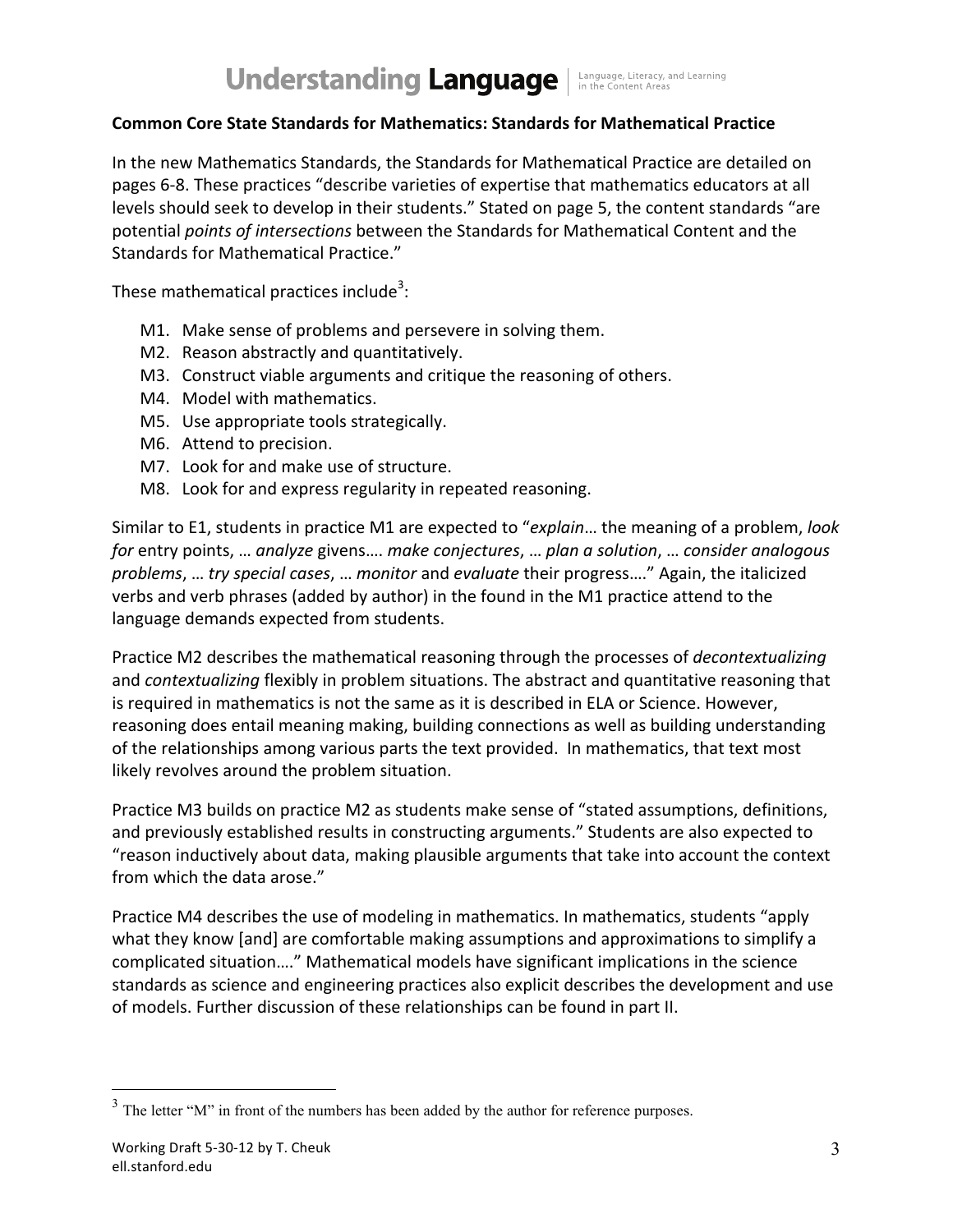### **Understanding Language** I Language, Literacy, and Learning

### **Common%Core%State%Standards%for%Mathematics:%Standards%for%Mathematical%Practice**

In the new Mathematics Standards, the Standards for Mathematical Practice are detailed on pages 6-8. These practices "describe varieties of expertise that mathematics educators at all levels should seek to develop in their students." Stated on page 5, the content standards "are potential *points of intersections* between the Standards for Mathematical Content and the Standards for Mathematical Practice."

These mathematical practices include<sup>3</sup>:

- M1. Make sense of problems and persevere in solving them.
- M2. Reason abstractly and quantitatively.
- M3. Construct viable arguments and critique the reasoning of others.
- M4. Model with mathematics.
- M5. Use appropriate tools strategically.
- M6. Attend to precision.
- M7. Look for and make use of structure.
- M8. Look for and express regularity in repeated reasoning.

Similar to E1, students in practice M1 are expected to "*explain*... the meaning of a problem, *look for* entry points, ... *analyze* givens.... *make conjectures*, ... *plan a solution*, ... *consider analogous problems, ... try special cases, ... monitor* and *evaluate* their progress...." Again, the italicized verbs and verb phrases (added by author) in the found in the M1 practice attend to the language demands expected from students.

Practice M2 describes the mathematical reasoning through the processes of *decontextualizing* and *contextualizing* flexibly in problem situations. The abstract and quantitative reasoning that is required in mathematics is not the same as it is described in ELA or Science. However, reasoning does entail meaning making, building connections as well as building understanding of the relationships among various parts the text provided. In mathematics, that text most likely revolves around the problem situation.

Practice M3 builds on practice M2 as students make sense of "stated assumptions, definitions, and previously established results in constructing arguments." Students are also expected to "reason inductively about data, making plausible arguments that take into account the context from which the data arose."

Practice M4 describes the use of modeling in mathematics. In mathematics, students "apply what they know [and] are comfortable making assumptions and approximations to simplify a complicated situation...." Mathematical models have significant implications in the science standards as science and engineering practices also explicit describes the development and use of models. Further discussion of these relationships can be found in part II.

 $3$  The letter "M" in front of the numbers has been added by the author for reference purposes.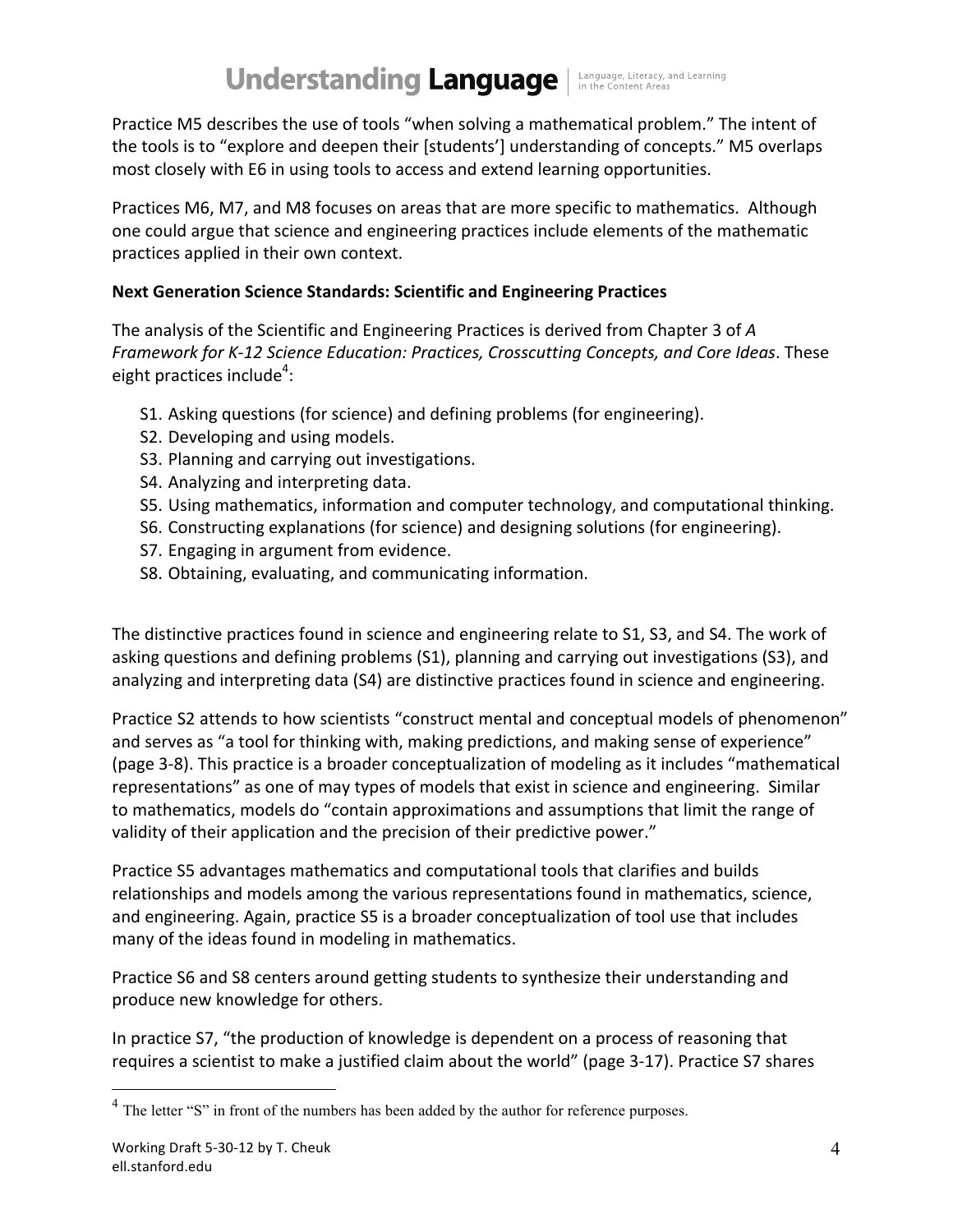# **Understanding Language** | Language, Literacy, and Learning

Practice M5 describes the use of tools "when solving a mathematical problem." The intent of the tools is to "explore and deepen their [students'] understanding of concepts." M5 overlaps most closely with E6 in using tools to access and extend learning opportunities.

Practices M6, M7, and M8 focuses on areas that are more specific to mathematics. Although one could argue that science and engineering practices include elements of the mathematic practices applied in their own context.

### **Next Generation Science Standards: Scientific and Engineering Practices**

The analysis of the Scientific and Engineering Practices is derived from Chapter 3 of *A* Framework for K-12 Science Education: Practices, Crosscutting Concepts, and Core Ideas. These eight practices include<sup>4</sup>:

- S1. Asking questions (for science) and defining problems (for engineering).
- S2. Developing and using models.
- S3. Planning and carrying out investigations.
- S4. Analyzing and interpreting data.
- S5. Using mathematics, information and computer technology, and computational thinking.
- S6. Constructing explanations (for science) and designing solutions (for engineering).
- S7. Engaging in argument from evidence.
- S8. Obtaining, evaluating, and communicating information.

The distinctive practices found in science and engineering relate to S1, S3, and S4. The work of asking questions and defining problems (S1), planning and carrying out investigations (S3), and analyzing and interpreting data (S4) are distinctive practices found in science and engineering.

Practice S2 attends to how scientists "construct mental and conceptual models of phenomenon" and serves as "a tool for thinking with, making predictions, and making sense of experience" (page 3-8). This practice is a broader conceptualization of modeling as it includes "mathematical representations" as one of may types of models that exist in science and engineering. Similar to mathematics, models do "contain approximations and assumptions that limit the range of validity of their application and the precision of their predictive power."

Practice S5 advantages mathematics and computational tools that clarifies and builds relationships and models among the various representations found in mathematics, science, and engineering. Again, practice S5 is a broader conceptualization of tool use that includes many of the ideas found in modeling in mathematics.

Practice S6 and S8 centers around getting students to synthesize their understanding and produce new knowledge for others.

In practice S7, "the production of knowledge is dependent on a process of reasoning that requires a scientist to make a justified claim about the world" (page 3-17). Practice S7 shares

<sup>&</sup>lt;sup>4</sup> The letter "S" in front of the numbers has been added by the author for reference purposes.